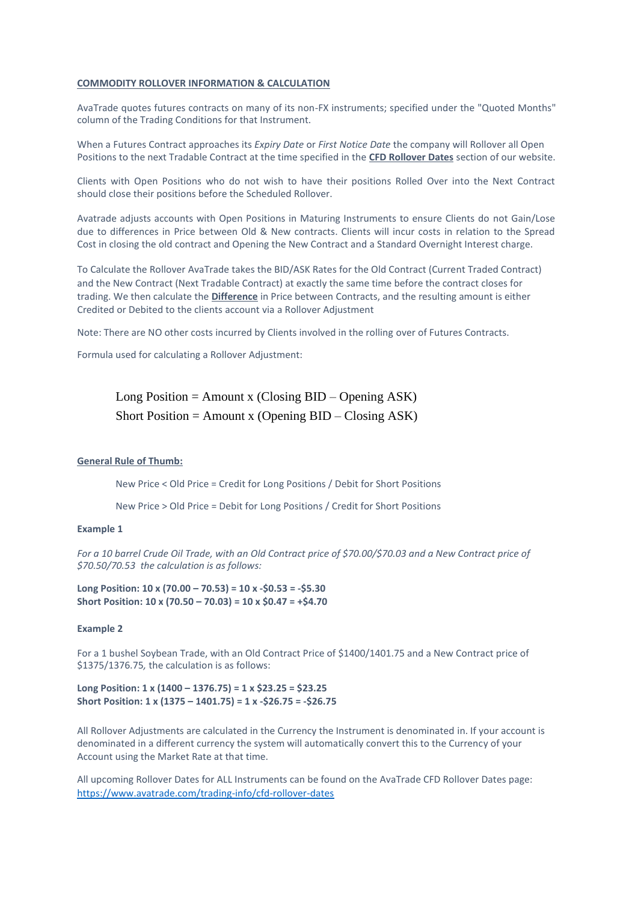## **COMMODITY ROLLOVER INFORMATION & CALCULATION**

AvaTrade quotes futures contracts on many of its non-FX instruments; specified under the "Quoted Months" column of the Trading Conditions for that Instrument.

When a Futures Contract approaches its *Expiry Date* or *First Notice Date* the company will Rollover all Open Positions to the next Tradable Contract at the time specified in the **CFD Rollover Dates** section of our website.

Clients with Open Positions who do not wish to have their positions Rolled Over into the Next Contract should close their positions before the Scheduled Rollover.

Avatrade adjusts accounts with Open Positions in Maturing Instruments to ensure Clients do not Gain/Lose due to differences in Price between Old & New contracts. Clients will incur costs in relation to the Spread Cost in closing the old contract and Opening the New Contract and a Standard Overnight Interest charge.

To Calculate the Rollover AvaTrade takes the BID/ASK Rates for the Old Contract (Current Traded Contract) and the New Contract (Next Tradable Contract) at exactly the same time before the contract closes for trading. We then calculate the **Difference** in Price between Contracts, and the resulting amount is either Credited or Debited to the clients account via a Rollover Adjustment

Note: There are NO other costs incurred by Clients involved in the rolling over of Futures Contracts.

Formula used for calculating a Rollover Adjustment:

Long Position = Amount x (Closing  $BID - Opening ASK$ ) Short Position = Amount x (Opening BID – Closing ASK)

## **General Rule of Thumb:**

New Price < Old Price = Credit for Long Positions / Debit for Short Positions

New Price > Old Price = Debit for Long Positions / Credit for Short Positions

## **Example 1**

*For a 10 barrel Crude Oil Trade, with an Old Contract price of \$70.00/\$70.03 and a New Contract price of \$70.50/70.53 the calculation is as follows:*

**Long Position: 10 x (70.00 – 70.53) = 10 x -\$0.53 = -\$5.30 Short Position: 10 x (70.50 – 70.03) = 10 x \$0.47 = +\$4.70**

## **Example 2**

For a 1 bushel Soybean Trade, with an Old Contract Price of \$1400/1401.75 and a New Contract price of \$1375/1376.75*,* the calculation is as follows:

**Long Position: 1 x (1400 – 1376.75) = 1 x \$23.25 = \$23.25 Short Position: 1 x (1375 – 1401.75) = 1 x -\$26.75 = -\$26.75**

All Rollover Adjustments are calculated in the Currency the Instrument is denominated in. If your account is denominated in a different currency the system will automatically convert this to the Currency of your Account using the Market Rate at that time.

All upcoming Rollover Dates for ALL Instruments can be found on the AvaTrade CFD Rollover Dates page: <https://www.avatrade.com/trading-info/cfd-rollover-dates>